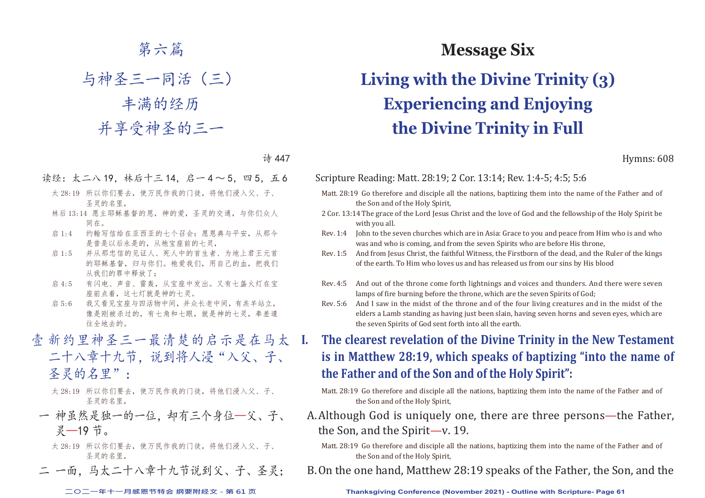## 第六篇

与神圣三一同活(三) 丰满的经历 并享受神圣的三一

诗 447

- 读经:太二八 19, 林后十三 14, 启一 4 ~ 5, 四 5, 五 6
	- 太 28:19 所以你们要去,使万民作我的门徒,将他们浸入父、子、 圣灵的名里,
	- 林后 13:14 愿主耶稣基督的恩,神的爱,圣灵的交通,与你们众人 同在。
	- 启 1:4 约翰写信给在亚西亚的七个召会: 愿恩典与平安, 从那今 是昔是以后永是的,从祂宝座前的七灵,
	- 启 1:5 并从那忠信的见证人、死人中的首生者、为地上君王元首 的耶稣基督,归与你们。祂爱我们,用自己的血,把我们 从我们的罪中释放了;
	- 启 4:5 有闪电、声音、雷轰,从宝座中发出。又有七盏火灯在宝 座前点着,这七灯就是神的七灵。
	- 启 5:6 我又看见宝座与四活物中间,并众长老中间,有羔羊站立, 像是刚被杀过的,有七角和七眼,就是神的七灵,奉差遣 往全地去的。
- 壹 新约里神圣三一最清楚的启示是在马太 I. 二十八章十九节, 说到将人浸"入父、子、 圣灵的名里":
	- 太 28:19 所以你们要去,使万民作我的门徒,将他们浸入父、子、 圣灵的名里,
	- 一 神虽然是独一的一位,却有三个身位—父、子、 灵—19 节。
		- 太 28:19 所以你们要去,使万民作我的门徒,将他们浸入父、子、 圣灵的名里,
	- 二 一面, 马太二十八章十九节说到父、子、圣灵;

# **Message Six Living with the Divine Trinity (3) Experiencing and Enjoying the Divine Trinity in Full**

Hymns: 608

### Scripture Reading: Matt. 28:19; 2 Cor. 13:14; Rev. 1:4-5; 4:5; 5:6

- Matt. 28:19 Go therefore and disciple all the nations, baptizing them into the name of the Father and of the Son and of the Holy Spirit,
- 2 Cor. 13:14 The grace of the Lord Jesus Christ and the love of God and the fellowship of the Holy Spirit be with you all.
- Rev. 1:4 John to the seven churches which are in Asia: Grace to you and peace from Him who is and who was and who is coming, and from the seven Spirits who are before His throne,
- Rev. 1:5 And from Jesus Christ, the faithful Witness, the Firstborn of the dead, and the Ruler of the kings of the earth. To Him who loves us and has released us from our sins by His blood
- Rev. 4:5 And out of the throne come forth lightnings and voices and thunders. And there were seven lamps of fire burning before the throne, which are the seven Spirits of God;
- Rev. 5:6 And I saw in the midst of the throne and of the four living creatures and in the midst of the elders a Lamb standing as having just been slain, having seven horns and seven eyes, which are the seven Spirits of God sent forth into all the earth.
- **I. The clearest revelation of the Divine Trinity in the New Testament is in Matthew 28:19, which speaks of baptizing "into the name of the Father and of the Son and of the Holy Spirit":**
	- Matt. 28:19 Go therefore and disciple all the nations, baptizing them into the name of the Father and of the Son and of the Holy Spirit,
- A. Although God is uniquely one, there are three persons—the Father, the Son, and the Spirit—v. 19.
	- Matt. 28:19 Go therefore and disciple all the nations, baptizing them into the name of the Father and of the Son and of the Holy Spirit,
- B. On the one hand, Matthew 28:19 speaks of the Father, the Son, and the

**二○二一年十一月感恩节特会 纲要附经文 - 第 61 页 Thanksgiving Conference (November 2021) - Outline with Scripture- Page 61**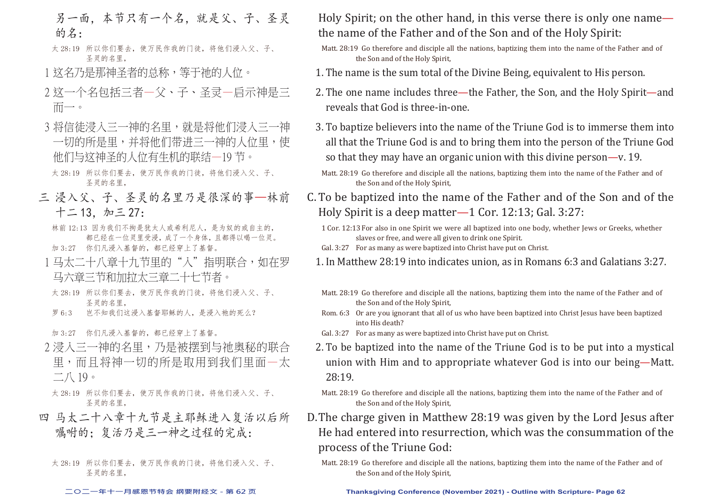- 另一面,本节只有一个名,就是父、子、圣灵 的名:
- 太 28:19 所以你们要去,使万民作我的门徒,将他们浸入父、子、 圣灵的名里,
- 1 这名乃是那神圣者的总称,等于祂的人位。
- 2 这一个名包括三者—父、子、圣灵—启示神是三 而一。
- 3 将信徒浸入三一神的名里,就是将他们浸入三一神 一切的所是里,并将他们带进三一神的人位里,使 他们与这神圣的人位有生机的联结—19 节。
- 太 28:19 所以你们要去,使万民作我的门徒,将他们浸入父、子、 圣灵的名里,
- 三 浸入父、子、圣灵的名里乃是很深的事—林前 十二 13,加三 27:
	- 林前 12:13 因为我们不拘是犹太人或希利尼人,是为奴的或自主的, 都已经在一位灵里受浸,成了一个身体,且都得以喝一位灵。
	- 加 3:27 你们凡浸入基督的,都已经穿上了基督。
- 1 马太二十八章十九节里的"入"指明联合,如在罗 马六章三节和加拉太三章二十七节者。
- 太 28:19 所以你们要去,使万民作我的门徒,将他们浸入父、子、 圣灵的名里,
- 罗 6:3 岂不知我们这浸入基督耶稣的人,是浸入祂的死么?

加 3:27 你们凡浸入基督的,都已经穿上了基督。

- 2 浸入三一神的名里,乃是被摆到与祂奥秘的联合 里,而且将神一切的所是取用到我们里面—太  $\overline{\phantom{a}}$  /  $\overline{\phantom{a}}$  19  $\circ$
- 太 28:19 所以你们要去, 使万民作我的门徒, 将他们浸入父、子、 圣灵的名里,
- 四 马太二十八章十九节是主耶稣进入复活以后所 嘱咐的: 复活乃是三一神之过程的完成:
	- 太 28:19 所以你们要去,使万民作我的门徒,将他们浸入父、子、 圣灵的名里,

Holy Spirit; on the other hand, in this verse there is only one name the name of the Father and of the Son and of the Holy Spirit:

- Matt. 28:19 Go therefore and disciple all the nations, baptizing them into the name of the Father and of the Son and of the Holy Spirit,
- 1. The name is the sum total of the Divine Being, equivalent to His person.
- 2. The one name includes three—the Father, the Son, and the Holy Spirit—and reveals that God is three-in-one.
- 3. To baptize believers into the name of the Triune God is to immerse them into all that the Triune God is and to bring them into the person of the Triune God so that they may have an organic union with this divine person—v. 19.
- Matt. 28:19 Go therefore and disciple all the nations, baptizing them into the name of the Father and of the Son and of the Holy Spirit,
- C. To be baptized into the name of the Father and of the Son and of the Holy Spirit is a deep matter—1 Cor. 12:13; Gal. 3:27:
	- 1 Cor. 12:13 For also in one Spirit we were all baptized into one body, whether Jews or Greeks, whether slaves or free, and were all given to drink one Spirit.
	- Gal. 3:27 For as many as were baptized into Christ have put on Christ.
	- 1. In Matthew 28:19 into indicates union, as in Romans 6:3 and Galatians 3:27.
	- Matt. 28:19 Go therefore and disciple all the nations, baptizing them into the name of the Father and of the Son and of the Holy Spirit,
	- Rom. 6:3 Or are you ignorant that all of us who have been baptized into Christ Jesus have been baptized into His death?
	- Gal. 3:27 For as many as were baptized into Christ have put on Christ.
	- 2. To be baptized into the name of the Triune God is to be put into a mystical union with Him and to appropriate whatever God is into our being—Matt. 28:19.
	- Matt. 28:19 Go therefore and disciple all the nations, baptizing them into the name of the Father and of the Son and of the Holy Spirit,
- D. The charge given in Matthew 28:19 was given by the Lord Jesus after He had entered into resurrection, which was the consummation of the process of the Triune God:
	- Matt. 28:19 Go therefore and disciple all the nations, baptizing them into the name of the Father and of the Son and of the Holy Spirit,

#### **二○二一年十一月感恩节特会 纲要附经文 - 第 62 页 Thanksgiving Conference (November 2021) - Outline with Scripture- Page 62**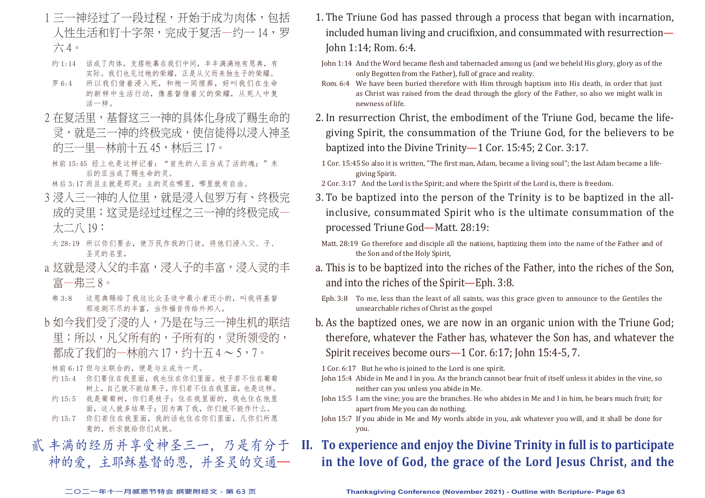- 1 三一神经过了一段过程,开始于成为肉体,包括 人性生活和钉十字架,完成于复活—约一 14,罗 六 4。
- 约 1:14 话成了肉体,支搭帐幕在我们中间,丰丰满满地有恩典,有 实际。我们也见过祂的荣耀,正是从父而来独生子的荣耀。
- 罗 6:4 所以我们借着浸入死,和祂一同埋葬,好叫我们在生命 的新样中生活行动,像基督借着父的荣耀,从死人中复 活一样。
- 2 在复活里,基督这三一神的具体化身成了赐生命的 灵,就是三一神的终极完成,使信徒得以浸入神圣 的三一里—林前十五 45,林后三 17。
- 林前 15:45 经上也是这样记着: "首先的人亚当成了活的魂;"末 后的亚当成了赐生命的灵。
- 林后 3:17 而且主就是那灵;主的灵在哪里,哪里就有自由。
- 3 浸入三一神的人位里,就是浸入包罗万有、终极完 成的灵里;这灵是经过过程之三一神的终极完成一 太二八 19:
- 太 28:19 所以你们要去,使万民作我的门徒,将他们浸入父、子、 圣灵的名里,
- a 这就是浸入父的丰富,浸入子的丰富,浸入灵的丰 富—弗三 8。
- 弗 3:8 这恩典赐给了我这比众圣徒中最小者还小的,叫我将基督 那追测不尽的丰富,当作福音传给外邦人,
- b 如今我们受了浸的人,乃是在与三一神生机的联结 里;所以,凡父所有的,子所有的,灵所领受的, 都成了我们的一林前六17,约十五 $4 \sim 5.7$ 。

林前 6:17 但与主联合的,便是与主成为一灵。

- 约 15:4 你们要住在我里面,我也住在你们里面。枝子若不住在葡萄 树上,自己就不能结果子,你们若不住在我里面,也是这样。
- 约 15:5 我是葡萄树,你们是枝子;住在我里面的,我也住在他里 面,这人就多结果子;因为离了我,你们就不能作什么。
- 约 15:7 你们若住在我里面,我的话也住在你们里面,凡你们所愿 意的,祈求就给你们成就。

贰 丰满的经历并享受神圣三一,乃是有分于 神的爱,主耶稣基督的恩,并圣灵的交通—

- 1. The Triune God has passed through a process that began with incarnation, included human living and crucifixion, and consummated with resurrection— John 1:14; Rom. 6:4.
- John 1:14 And the Word became flesh and tabernacled among us (and we beheld His glory, glory as of the only Begotten from the Father), full of grace and reality.
- Rom. 6:4 We have been buried therefore with Him through baptism into His death, in order that just as Christ was raised from the dead through the glory of the Father, so also we might walk in newness of life.
- 2. In resurrection Christ, the embodiment of the Triune God, became the lifegiving Spirit, the consummation of the Triune God, for the believers to be baptized into the Divine Trinity—1 Cor. 15:45; 2 Cor. 3:17.
- 1 Cor. 15:45 So also it is written, "The first man, Adam, became a living soul"; the last Adam became a lifegiving Spirit.
- 2 Cor. 3:17 And the Lord is the Spirit; and where the Spirit of the Lord is, there is freedom.
- 3. To be baptized into the person of the Trinity is to be baptized in the allinclusive, consummated Spirit who is the ultimate consummation of the processed Triune God—Matt. 28:19:
- Matt. 28:19 Go therefore and disciple all the nations, baptizing them into the name of the Father and of the Son and of the Holy Spirit,
- a. This is to be baptized into the riches of the Father, into the riches of the Son, and into the riches of the Spirit—Eph. 3:8.
- Eph. 3:8 To me, less than the least of all saints, was this grace given to announce to the Gentiles the unsearchable riches of Christ as the gospel
- b. As the baptized ones, we are now in an organic union with the Triune God; therefore, whatever the Father has, whatever the Son has, and whatever the Spirit receives become ours—1 Cor. 6:17; John 15:4-5, 7.

1 Cor. 6:17 But he who is joined to the Lord is one spirit.

- John 15:4 Abide in Me and I in you. As the branch cannot bear fruit of itself unless it abides in the vine, so neither can you unless you abide in Me.
- John 15:5 I am the vine; you are the branches. He who abides in Me and I in him, he bears much fruit; for apart from Me you can do nothing.
- John 15:7 If you abide in Me and My words abide in you, ask whatever you will, and it shall be done for you.

## **II. To experience and enjoy the Divine Trinity in full is to participate in the love of God, the grace of the Lord Jesus Christ, and the**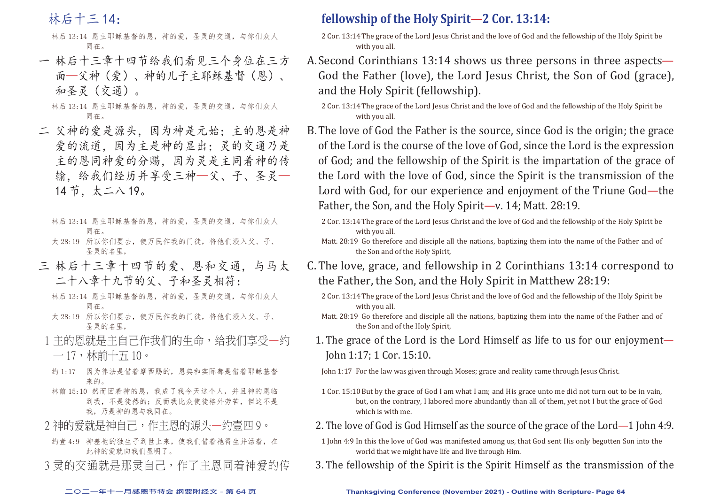林后十三 14:

林后 13:14 愿主耶稣基督的恩,神的爱,圣灵的交通,与你们众人 同在。

一 林后十三章十四节给我们看见三个身位在三方 面—父神(爱)、神的儿子主耶稣基督(恩)、 和圣灵(交通)。

林后 13:14 愿主耶稣基督的恩,神的爱,圣灵的交通,与你们众人 同在。

- 二 父神的爱是源头,因为神是元始;主的恩是神 爱的流道,因为主是神的显出;灵的交通乃是 主的恩同神爱的分赐,因为灵是主同着神的传 输,给我们经历并享受三神—父、子、圣灵— 14 节,太二八 19。
	- 林后 13:14 愿主耶稣基督的恩,神的爱,圣灵的交通,与你们众人 同在。
	- 太 28:19 所以你们要去, 使万民作我的门徒, 将他们浸入父、子、 圣灵的名里,
- 三 林后十三章十四节的爱、恩和交通,与马太 二十八章十九节的父、子和圣灵相符:
	- 林后 13:14 愿主耶稣基督的恩,神的爱,圣灵的交通,与你们众人 同在。
	- 太 28:19 所以你们要去, 使万民作我的门徒, 将他们浸入父、子、 圣灵的名里,
- 1 主的恩就是主自己作我们的生命,给我们享受—约  $-17, \, \text{m}$ 前十五 $10 \, \text{m}$
- 约 1:17 因为律法是借着摩西赐的,恩典和实际都是借着耶稣基督 来的。
- 林前 15:10 然而因着神的恩,我成了我今天这个人,并且神的恩临 到我,不是徒然的;反而我比众使徒格外劳苦,但这不是 我,乃是神的恩与我同在。
- 2 神的爱就是神自己,作主恩的源头—约壹四9。
- 约壹 4:9 神差祂的独生子到世上来,使我们借着祂得生并活着,在 此神的爱就向我们显明了。
- 3 灵的交涌就是那灵自己,作了主恩同着神爱的传

## **fellowship of the Holy Spirit—2 Cor. 13:14:**

- 2 Cor. 13:14 The grace of the Lord Jesus Christ and the love of God and the fellowship of the Holy Spirit be with you all.
- A. Second Corinthians 13:14 shows us three persons in three aspects— God the Father (love), the Lord Jesus Christ, the Son of God (grace), and the Holy Spirit (fellowship).

- B. The love of God the Father is the source, since God is the origin; the grace of the Lord is the course of the love of God, since the Lord is the expression of God; and the fellowship of the Spirit is the impartation of the grace of the Lord with the love of God, since the Spirit is the transmission of the Lord with God, for our experience and enjoyment of the Triune God—the Father, the Son, and the Holy Spirit—v. 14; Matt. 28:19.
	- 2 Cor. 13:14 The grace of the Lord Jesus Christ and the love of God and the fellowship of the Holy Spirit be with you all.
	- Matt. 28:19 Go therefore and disciple all the nations, baptizing them into the name of the Father and of the Son and of the Holy Spirit,
- C. The love, grace, and fellowship in 2 Corinthians 13:14 correspond to the Father, the Son, and the Holy Spirit in Matthew 28:19:
	- 2 Cor. 13:14 The grace of the Lord Jesus Christ and the love of God and the fellowship of the Holy Spirit be with you all.
	- Matt. 28:19 Go therefore and disciple all the nations, baptizing them into the name of the Father and of the Son and of the Holy Spirit,
	- 1. The grace of the Lord is the Lord Himself as life to us for our enjoyment— John 1:17; 1 Cor. 15:10.
		- John 1:17 For the law was given through Moses; grace and reality came through Jesus Christ.
		- 1 Cor. 15:10 But by the grace of God I am what I am; and His grace unto me did not turn out to be in vain, but, on the contrary, I labored more abundantly than all of them, yet not I but the grace of God which is with me.
	- 2. The love of God is God Himself as the source of the grace of the Lord—1 John 4:9.
	- 1 John 4:9 In this the love of God was manifested among us, that God sent His only begotten Son into the world that we might have life and live through Him.
- 3. The fellowship of the Spirit is the Spirit Himself as the transmission of the

<sup>2</sup> Cor. 13:14 The grace of the Lord Jesus Christ and the love of God and the fellowship of the Holy Spirit be with you all.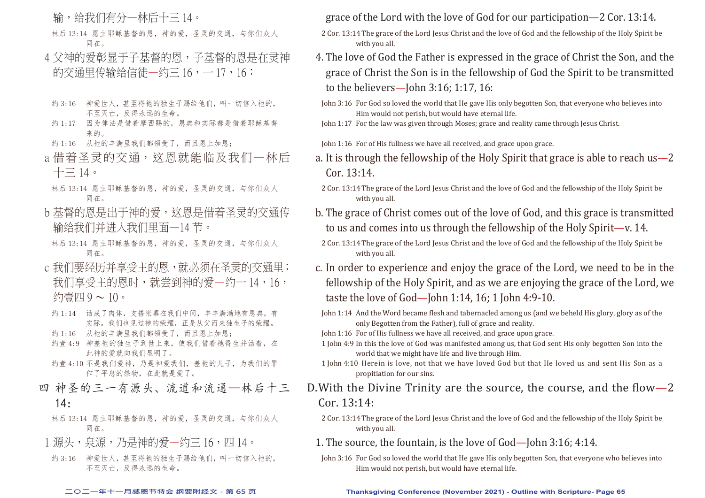输,给我们有分—林后十三 14。

林后 13:14 愿主耶稣基督的恩,神的爱,圣灵的交通,与你们众人 同在。

- 4 父神的爱彰显于子基督的恩,子基督的恩是在灵神 的交诵里传输给信徒—约三 16, - 17, 16:
- 约 3:16 神爱世人, 其至将祂的独生子赐给他们, 叫一切信入祂的, 不至灭亡,反得永远的生命。
- 约 1:17 因为律法是借着摩西赐的, 恩典和实际都是借着耶稣基督 来的。
- 约 1:16 从祂的丰满里我们都领受了,而且恩上加恩;
- a 借着圣灵的交通, 这恩就能临及我们一林后  $+$  $\equiv$  14.
- 林后 13:14 愿主耶稣基督的恩,神的爱,圣灵的交通,与你们众人 同在。
- b 基督的恩是出于神的爱,这恩是借着圣灵的交通传 输给我们并进入我们里面—14 节。
	- 林后 13:14 愿主耶稣基督的恩,神的爱,圣灵的交通,与你们众人 同在。
- c 我们要经历并享受主的恩,就必须在圣灵的交通里; 我们享受主的恩时,就尝到神的爱—约一 14,16, 约壹四 9 ~ 10。
- 约 1:14 话成了肉体, 支搭帐幕在我们中间, 丰丰满满地有恩典, 有 实际。我们也见过祂的荣耀,正是从父而来独生子的荣耀。
- 约 1:16 从祂的丰满里我们都领受了,而且恩上加恩;
- 约壹 4:9 神差祂的独生子到世上来, 使我们借着祂得生并活着, 在 此神的爱就向我们显明了。
- 约壹 4:10 不是我们爱神,乃是神爱我们,差祂的儿子,为我们的罪 作了平息的祭物,在此就是爱了。
- 四 神圣的三一有源头、流道和流通—林后十三  $14:$ 
	- 林后 13:14 愿主耶稣基督的恩,神的爱,圣灵的交通,与你们众人 同在。
- 1 源头,泉源,乃是神的爱一约三 16,四 14。
- 约 3:16 神爱世人, 其至将祂的独生子赐给他们, 叫一切信入祂的, 不至灭亡,反得永远的生命。

grace of the Lord with the love of God for our participation—2 Cor. 13:14.

- 2 Cor. 13:14 The grace of the Lord Jesus Christ and the love of God and the fellowship of the Holy Spirit be with you all.
- 4. The love of God the Father is expressed in the grace of Christ the Son, and the grace of Christ the Son is in the fellowship of God the Spirit to be transmitted to the believers—John 3:16; 1:17, 16:
- John 3:16 For God so loved the world that He gave His only begotten Son, that everyone who believes into Him would not perish, but would have eternal life.
- John 1:17 For the law was given through Moses; grace and reality came through Jesus Christ.

John 1:16 For of His fullness we have all received, and grace upon grace.

- a. It is through the fellowship of the Holy Spirit that grace is able to reach us—2 Cor. 13:14.
- 2 Cor. 13:14 The grace of the Lord Jesus Christ and the love of God and the fellowship of the Holy Spirit be with you all.
- b. The grace of Christ comes out of the love of God, and this grace is transmitted to us and comes into us through the fellowship of the Holy Spirit—v. 14.
- 2 Cor. 13:14 The grace of the Lord Jesus Christ and the love of God and the fellowship of the Holy Spirit be with you all.
- c. In order to experience and enjoy the grace of the Lord, we need to be in the fellowship of the Holy Spirit, and as we are enjoying the grace of the Lord, we taste the love of God—John 1:14, 16; 1 John 4:9-10.
- John 1:14 And the Word became flesh and tabernacled among us (and we beheld His glory, glory as of the only Begotten from the Father), full of grace and reality.
- John 1:16 For of His fullness we have all received, and grace upon grace.
- 1 John 4:9 In this the love of God was manifested among us, that God sent His only begotten Son into the world that we might have life and live through Him.
- 1 John 4:10 Herein is love, not that we have loved God but that He loved us and sent His Son as a propitiation for our sins.
- D. With the Divine Trinity are the source, the course, and the flow-2 Cor. 13:14:
	- 2 Cor. 13:14 The grace of the Lord Jesus Christ and the love of God and the fellowship of the Holy Spirit be with you all.
	- 1. The source, the fountain, is the love of God—John 3:16: 4:14.
	- John 3:16 For God so loved the world that He gave His only begotten Son, that everyone who believes into Him would not perish, but would have eternal life.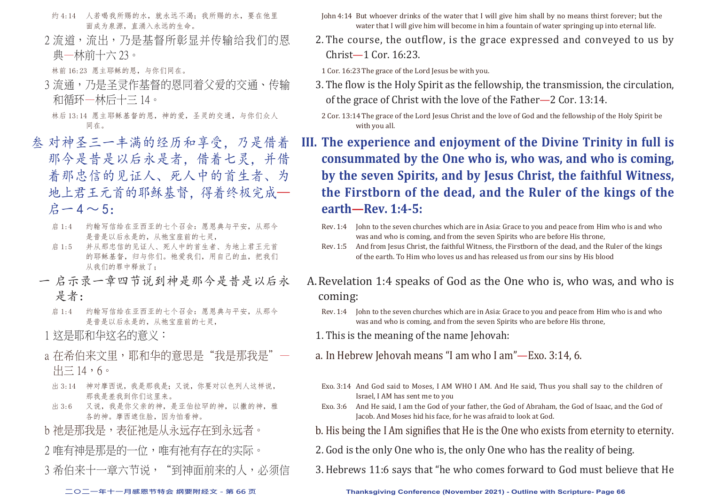- 约 4:14 人若喝我所赐的水, 就永远不渴; 我所赐的水, 要在他里 面成为泉源,直涌入永远的生命。
- 2 流道,流出,乃是基督所彰显并传输给我们的恩 典—林前十六 23。

林前 16:23 愿主耶稣的恩,与你们同在。

3 流涌, 乃是圣灵作基督的恩同着父爱的交涌、传输 和循环—林后十三 14。

林后 13:14 愿主耶稣基督的恩,神的爱,圣灵的交通,与你们众人 同在。

- 叁 对神圣三一丰满的经历和享受,乃是借着 那今是昔是以后永是者,借着七灵,并借 着那忠信的见证人、死人中的首生者、为 地上君王元首的耶稣基督,得着终极完成—  $A - 4 \sim 5$ :
	- 启 1:4 约翰写信给在亚西亚的七个召会: 愿恩典与平安, 从那今 是昔是以后永是的,从祂宝座前的七灵,
	- 启 1:5 并从那忠信的见证人、死人中的首生者、为地上君王元首 的耶稣基督,归与你们。祂爱我们,用自己的血,把我们 从我们的罪中释放了;
	- 一 启示录一章四节说到神是那今是昔是以后永 是者:
		- 启 1:4 约翰写信给在亚西亚的七个召会:愿恩典与平安,从那今 是昔是以后永是的,从祂宝座前的七灵,

1 这是耶和华这名的意义:

- a 存希伯来文里,耶和华的意思是"我是那我是"  $H = 14,6$ 。
- 出 3:14 神对摩西说,我是那我是;又说,你要对以色列人这样说, 那我是差我到你们这里来。
- 出 3:6 又说, 我是你父亲的神, 是亚伯拉罕的神, 以撒的神, 雅 各的神。摩西遮住脸,因为怕看神。
- b 祂是那我是,表征祂是从永远存在到永远者。
- 2 唯有神是那是的一位,唯有神有存在的实际。
- 3 希伯来十一章六节说,"到神面前来的人,必须信
- John 4:14 But whoever drinks of the water that I will give him shall by no means thirst forever; but the water that I will give him will become in him a fountain of water springing up into eternal life.
- 2. The course, the outflow, is the grace expressed and conveyed to us by Christ—1 Cor. 16:23.

1 Cor. 16:23 The grace of the Lord Jesus be with you.

- 3. The flow is the Holy Spirit as the fellowship, the transmission, the circulation, of the grace of Christ with the love of the Father—2 Cor. 13:14.
	- 2 Cor. 13:14 The grace of the Lord Jesus Christ and the love of God and the fellowship of the Holy Spirit be with you all.

**III. The experience and enjoyment of the Divine Trinity in full is consummated by the One who is, who was, and who is coming, by the seven Spirits, and by Jesus Christ, the faithful Witness, the Firstborn of the dead, and the Ruler of the kings of the earth—Rev. 1:4-5:**

- Rev. 1:4 John to the seven churches which are in Asia: Grace to you and peace from Him who is and who was and who is coming, and from the seven Spirits who are before His throne,
- Rev. 1:5 And from Jesus Christ, the faithful Witness, the Firstborn of the dead, and the Ruler of the kings of the earth. To Him who loves us and has released us from our sins by His blood
- A. Revelation 1:4 speaks of God as the One who is, who was, and who is coming:
	- Rev. 1:4 John to the seven churches which are in Asia: Grace to you and peace from Him who is and who was and who is coming, and from the seven Spirits who are before His throne,
	- 1. This is the meaning of the name Jehovah:
	- a. In Hebrew Jehovah means "I am who I am"—Exo. 3:14, 6.
	- Exo. 3:14 And God said to Moses, I AM WHO I AM. And He said, Thus you shall say to the children of Israel, I AM has sent me to you
	- Exo. 3:6 And He said, I am the God of your father, the God of Abraham, the God of Isaac, and the God of Jacob. And Moses hid his face, for he was afraid to look at God.
	- b. His being the I Am signifies that He is the One who exists from eternity to eternity.
	- 2. God is the only One who is, the only One who has the reality of being.
	- 3. Hebrews 11:6 says that "he who comes forward to God must believe that He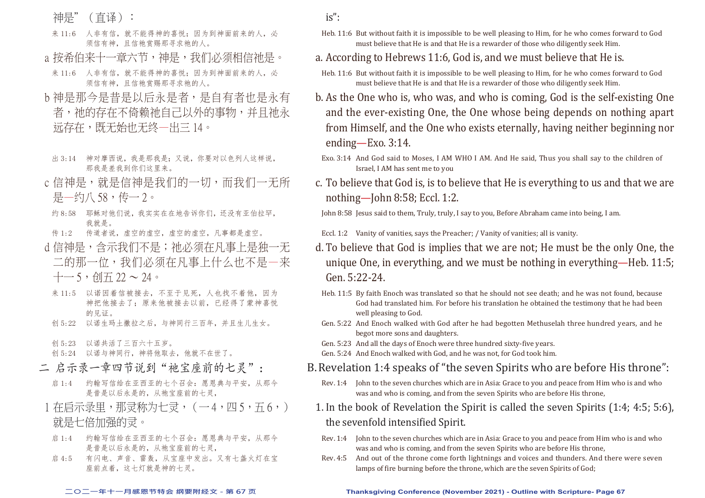神是"(直译):

- 来 11:6 人非有信, 就不能得神的喜悦; 因为到神面前来的人, 必 须信有神,且信祂赏赐那寻求祂的人。
- a 按希伯来十一章六节,神是,我们必须相信祂是。
- 来 11:6 人非有信,就不能得神的喜悦;因为到神面前来的人,必 须信有神,且信祂赏赐那寻求祂的人。
- b 神是那今是昔是以后永是者, 是自有者也是永有 者,祂的存在不倚赖祂自己以外的事物,并且祂永 远存在,既无始也无终—出三 14。
- 出 3:14 神对摩西说,我是那我是;又说,你要对以色列人这样说, 那我是差我到你们这里来。
- c 信神是,就是信神是我们的一切,而我们一无所 是—约八 58,传一 2。
- 约 8:58 耶稣对他们说,我实实在在地告诉你们,还没有亚伯拉罕, 我就是。
- 传 1:2 传道者说, 虚空的虚空, 虚空的虚空, 凡事都是虚空。
- d 信神是, 含示我们不是; 祂必须在凡事上是独一无 二的那一位,我们必须在凡事上什么也不是—来  $+-5,$  创五 22 ~ 24。
- 来 11:5 以诺因着信被接去,不至于见死,人也找不着他,因为 神把他接去了;原来他被接去以前,已经得了蒙神喜悦 的见证。
- 创 5:22 以诺生玛土撒拉之后,与神同行三百年,并且生儿生女。
- 创 5:23 以诺共活了三百六十五岁。
- 创 5:24 以诺与神同行,神将他取去,他就不在世了。
- 二 启示录一章四节说到"祂宝座前的七灵":
	- 启 1:4 约翰写信给在亚西亚的七个召会: 愿恩典与平安, 从那今 是昔是以后永是的,从祂宝座前的七灵,
- 1 在启示录里,那灵称为七灵,(一4,四5,五6,) 就是七倍加强的灵。
- 启 1:4 约翰写信给在亚西亚的七个召会:愿恩典与平安,从那今 是昔是以后永是的,从祂宝座前的七灵,
- 启 4:5 有闪电、声音、雷轰,从宝座中发出。又有七盏火灯在宝 座前点着,这七灯就是神的七灵。
- is":
- Heb. 11:6 But without faith it is impossible to be well pleasing to Him, for he who comes forward to God must believe that He is and that He is a rewarder of those who diligently seek Him.
- a. According to Hebrews 11:6, God is, and we must believe that He is.
- Heb. 11:6 But without faith it is impossible to be well pleasing to Him, for he who comes forward to God must believe that He is and that He is a rewarder of those who diligently seek Him.
- b. As the One who is, who was, and who is coming, God is the self-existing One and the ever-existing One, the One whose being depends on nothing apart from Himself, and the One who exists eternally, having neither beginning nor ending—Exo. 3:14.
- Exo. 3:14 And God said to Moses, I AM WHO I AM. And He said, Thus you shall say to the children of Israel, I AM has sent me to you
- c. To believe that God is, is to believe that He is everything to us and that we are nothing—John 8:58; Eccl. 1:2.

John 8:58 Jesus said to them, Truly, truly, I say to you, Before Abraham came into being, I am.

Eccl. 1:2 Vanity of vanities, says the Preacher; / Vanity of vanities; all is vanity.

- d. To believe that God is implies that we are not; He must be the only One, the unique One, in everything, and we must be nothing in everything—Heb. 11:5; Gen. 5:22-24.
- Heb. 11:5 By faith Enoch was translated so that he should not see death; and he was not found, because God had translated him. For before his translation he obtained the testimony that he had been well pleasing to God.
- Gen. 5:22 And Enoch walked with God after he had begotten Methuselah three hundred years, and he begot more sons and daughters.
- Gen. 5:23 And all the days of Enoch were three hundred sixty-five years.
- Gen. 5:24 And Enoch walked with God, and he was not, for God took him.
- B. Revelation 1:4 speaks of "the seven Spirits who are before His throne":
	- Rev. 1:4 John to the seven churches which are in Asia: Grace to you and peace from Him who is and who was and who is coming, and from the seven Spirits who are before His throne,
- 1. In the book of Revelation the Spirit is called the seven Spirits (1:4; 4:5; 5:6), the sevenfold intensified Spirit.
	- Rev. 1:4 John to the seven churches which are in Asia: Grace to you and peace from Him who is and who was and who is coming, and from the seven Spirits who are before His throne,
- Rev. 4:5 And out of the throne come forth lightnings and voices and thunders. And there were seven lamps of fire burning before the throne, which are the seven Spirits of God;

#### **二○二一年十一月感恩节特会 纲要附经文 - 第 67 页 Thanksgiving Conference (November 2021) - Outline with Scripture- Page 67**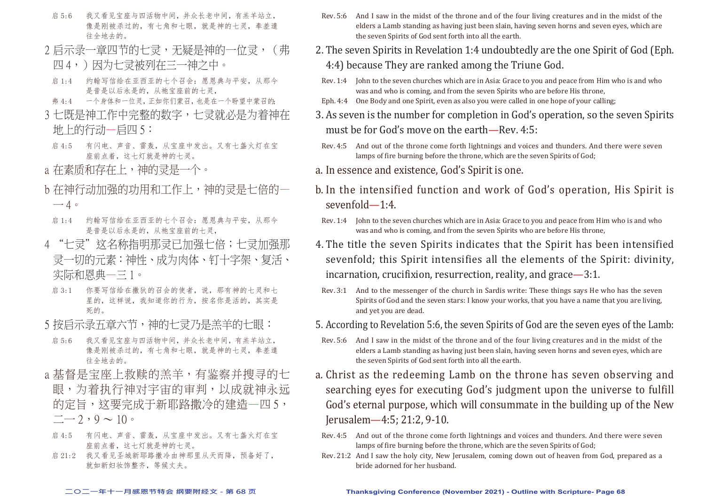- 启 5:6 我又看见宝座与四活物中间,并众长老中间,有羔羊站立, 像是刚被杀过的,有七角和七眼,就是神的七灵,奉差遣 往全地去的。
- 2 启示录一章四节的七灵,无疑是神的一位灵, (弗
- 四4,)因为七灵被列在三一神之中。
- 启 1:4 约翰写信给在亚西亚的七个召会: 愿恩典与平安, 从那今 是昔是以后永是的,从祂宝座前的七灵,
- 弗 4:4 一个身体和一位灵,正如你们蒙召,也是在一个盼望中蒙召的;
- 3 七既是神工作中完整的数字,七灵就必是为着神在 地上的行动—启四 5:
- 启 4:5 有闪电、声音、雷轰,从宝座中发出。又有七盏火灯在宝 座前点着,这七灯就是神的七灵。
- a 在素质和存在上, 神的灵是一个。
- b 在神行动加强的功用和工作上,神的灵是七倍的一  $-4$ 。
- 启 1:4 约翰写信给在亚西亚的十个召会: 愿恩典与平安, 从那今 是昔是以后永是的,从祂宝座前的七灵,
- 4 "七灵"这名称指明那灵已加强七倍;七灵加强那 灵一切的元素:神性、成为肉体、钉十字架、复活、 实际和恩典—三 1。
- 启 3:1 你要写信给在撒狄的召会的使者,说,那有神的七灵和七 星的,这样说,我知道你的行为,按名你是活的,其实是 死的。
- 5 按启示录五章六节,神的七灵乃是羔羊的七眼:
- 启 5:6 我又看见宝座与四活物中间,并众长老中间,有羔羊站立, 像是刚被杀过的,有七角和七眼,就是神的七灵,奉差遣 往全地去的。
- a 基督是宝座上救赎的羔羊, 有鉴察并搜寻的七 眼,为着执行神对宇宙的审判,以成就神永远 的定旨,这要完成于新耶路撒冷的建造—四 5,  $-$  2, 9  $\sim$  10  $\circ$
- 启 4:5 有闪电、声音、雷轰,从宝座中发出。又有七盏火灯在宝 座前点着,这七灯就是神的七灵。
- 启 21:2 我又看见圣城新耶路撒冷由神那里从天而降,预备好了, 就如新妇妆饰整齐,等候丈夫。
- Rev. 5:6 And I saw in the midst of the throne and of the four living creatures and in the midst of the elders a Lamb standing as having just been slain, having seven horns and seven eyes, which are the seven Spirits of God sent forth into all the earth.
- 2. The seven Spirits in Revelation 1:4 undoubtedly are the one Spirit of God (Eph. 4:4) because They are ranked among the Triune God.
- Rev. 1:4 John to the seven churches which are in Asia: Grace to you and peace from Him who is and who was and who is coming, and from the seven Spirits who are before His throne,
- Eph. 4:4 One Body and one Spirit, even as also you were called in one hope of your calling;
- 3. As seven is the number for completion in God's operation, so the seven Spirits must be for God's move on the earth—Rev. 4:5:
- Rev. 4:5 And out of the throne come forth lightnings and voices and thunders. And there were seven lamps of fire burning before the throne, which are the seven Spirits of God;
- a. In essence and existence, God's Spirit is one.
- b. In the intensified function and work of God's operation, His Spirit is sevenfold—1:4.
- Rev. 1:4 John to the seven churches which are in Asia: Grace to you and peace from Him who is and who was and who is coming, and from the seven Spirits who are before His throne,
- 4. The title the seven Spirits indicates that the Spirit has been intensified sevenfold; this Spirit intensifies all the elements of the Spirit: divinity, incarnation, crucifixion, resurrection, reality, and grace—3:1.
- Rev. 3:1 And to the messenger of the church in Sardis write: These things says He who has the seven Spirits of God and the seven stars: I know your works, that you have a name that you are living, and yet you are dead.
- 5. According to Revelation 5:6, the seven Spirits of God are the seven eyes of the Lamb:
- Rev. 5:6 And I saw in the midst of the throne and of the four living creatures and in the midst of the elders a Lamb standing as having just been slain, having seven horns and seven eyes, which are the seven Spirits of God sent forth into all the earth.
- a. Christ as the redeeming Lamb on the throne has seven observing and searching eyes for executing God's judgment upon the universe to fulfill God's eternal purpose, which will consummate in the building up of the New Jerusalem—4:5; 21:2, 9-10.
- Rev. 4:5 And out of the throne come forth lightnings and voices and thunders. And there were seven lamps of fire burning before the throne, which are the seven Spirits of God;
- Rev. 21:2 And I saw the holy city, New Jerusalem, coming down out of heaven from God, prepared as a bride adorned for her husband.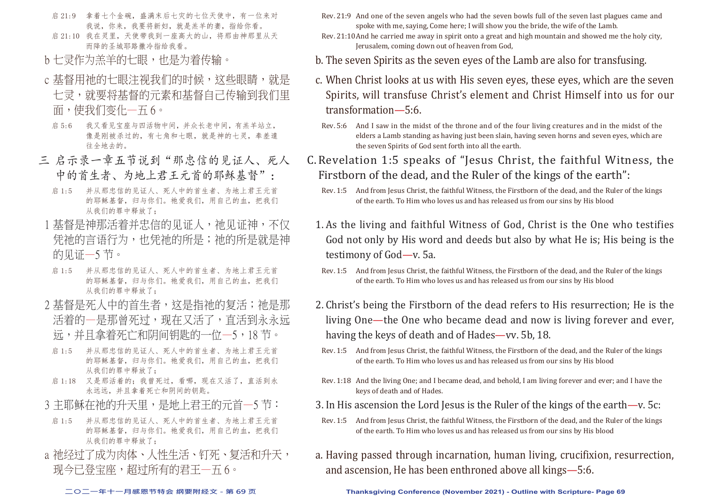- 启 21:9 拿着七个金碗,盛满末后七灾的七位天使中,有一位来对 我说,你来,我要将新妇,就是羔羊的妻,指给你看。
- 启 21:10 我在灵里, 天使带我到一座高大的山, 将那由神那里从天 而降的圣城耶路撒冷指给我看。
- b 七灵作为羔羊的七眼, 也是为着传输。
- c 基督用祂的七眼注视我们的时候, 这些眼睛, 就是 七灵,就要将基督的元素和基督自己传输到我们里 面,使我们变化—五 6。
	- 启 5:6 我又看见宝座与四活物中间,并众长老中间,有羔羊站立, 像是刚被杀过的,有七角和七眼,就是神的七灵,奉差遣 往全地去的。
- 三 启示录一章五节说到"那忠信的见证人、死人 中的首生者、为地上君王元首的耶稣基督":
	- 启 1:5 并从那忠信的见证人、死人中的首生者、为地上君王元首 的耶稣基督,归与你们。祂爱我们,用自己的血,把我们 从我们的罪中释放了;
- 1 基督是神那活着并忠信的见证人,祂见证神,不仅 凭祂的言语行为,也凭祂的所是;祂的所是就是神 的见证—5 节。
- 启 1:5 并从那忠信的见证人、死人中的首生者、为地上君王元首 的耶稣基督,归与你们。祂爱我们,用自己的血,把我们 从我们的罪中释放了;
- 2 基督是死人中的首生者,这是指祂的复活;祂是那 活着的—是那曾死过,现在又活了,直活到永永远 远,并且拿着死亡和阴间钥匙的一位—5,18 节。
- 启 1:5 并从那忠信的见证人、死人中的首生者、为地上君王元首 的耶稣基督,归与你们。祂爱我们,用自己的血,把我们 从我们的罪中释放了;
- 启 1:18 又是那活着的;我曾死过,看哪,现在又活了,直活到永 永远远,并且拿着死亡和阴间的钥匙。
- 3 主耶稣在祂的升天里,是地上君王的元首一5 节:
- 启 1:5 并从那忠信的见证人、死人中的首生者、为地上君王元首 的耶稣基督,归与你们。祂爱我们,用自己的血,把我们 从我们的罪中释放了;
- a 祂经过了成为肉体、人性生活、钉死、复活和升天, 现今已登宝座,超过所有的君王—五 6。
- Rev. 21:9 And one of the seven angels who had the seven bowls full of the seven last plagues came and spoke with me, saying, Come here; I will show you the bride, the wife of the Lamb.
- Rev. 21:10 And he carried me away in spirit onto a great and high mountain and showed me the holy city, Jerusalem, coming down out of heaven from God,
- b. The seven Spirits as the seven eyes of the Lamb are also for transfusing.
- c. When Christ looks at us with His seven eyes, these eyes, which are the seven Spirits, will transfuse Christ's element and Christ Himself into us for our transformation—5:6.
	- Rev. 5:6 And I saw in the midst of the throne and of the four living creatures and in the midst of the elders a Lamb standing as having just been slain, having seven horns and seven eyes, which are the seven Spirits of God sent forth into all the earth.
- C. Revelation 1:5 speaks of "Jesus Christ, the faithful Witness, the Firstborn of the dead, and the Ruler of the kings of the earth":
	- Rev. 1:5 And from Jesus Christ, the faithful Witness, the Firstborn of the dead, and the Ruler of the kings of the earth. To Him who loves us and has released us from our sins by His blood
	- 1. As the living and faithful Witness of God, Christ is the One who testifies God not only by His word and deeds but also by what He is; His being is the testimony of God—v. 5a.
		- Rev. 1:5 And from Jesus Christ, the faithful Witness, the Firstborn of the dead, and the Ruler of the kings of the earth. To Him who loves us and has released us from our sins by His blood
	- 2. Christ's being the Firstborn of the dead refers to His resurrection; He is the living One—the One who became dead and now is living forever and ever, having the keys of death and of Hades—vv. 5b, 18.
	- Rev. 1:5 And from Jesus Christ, the faithful Witness, the Firstborn of the dead, and the Ruler of the kings of the earth. To Him who loves us and has released us from our sins by His blood
	- Rev. 1:18 And the living One; and I became dead, and behold, I am living forever and ever; and I have the keys of death and of Hades.
	- 3. In His ascension the Lord Jesus is the Ruler of the kings of the earth—v. 5c:
	- Rev. 1:5 And from Jesus Christ, the faithful Witness, the Firstborn of the dead, and the Ruler of the kings of the earth. To Him who loves us and has released us from our sins by His blood
	- a. Having passed through incarnation, human living, crucifixion, resurrection, and ascension, He has been enthroned above all kings—5:6.

**二○二一年十一月感恩节特会 纲要附经文 - 第 69 页 Thanksgiving Conference (November 2021) - Outline with Scripture- Page 69**